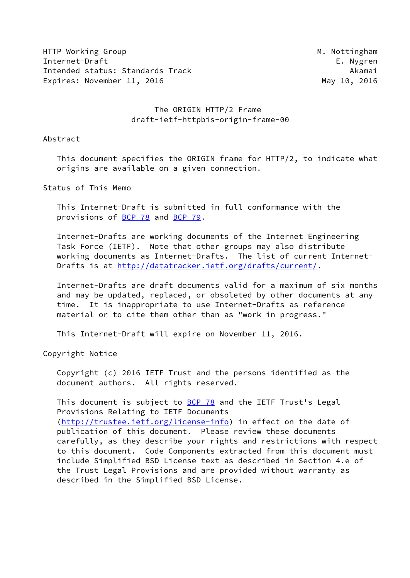HTTP Working Group and the state of the state of the state of the M. Nottingham Internet-Draft E. Nygren Intended status: Standards Track Akamai Expires: November 11, 2016 May 10, 2016

# The ORIGIN HTTP/2 Frame draft-ietf-httpbis-origin-frame-00

#### Abstract

 This document specifies the ORIGIN frame for HTTP/2, to indicate what origins are available on a given connection.

Status of This Memo

 This Internet-Draft is submitted in full conformance with the provisions of [BCP 78](https://datatracker.ietf.org/doc/pdf/bcp78) and [BCP 79](https://datatracker.ietf.org/doc/pdf/bcp79).

 Internet-Drafts are working documents of the Internet Engineering Task Force (IETF). Note that other groups may also distribute working documents as Internet-Drafts. The list of current Internet- Drafts is at<http://datatracker.ietf.org/drafts/current/>.

 Internet-Drafts are draft documents valid for a maximum of six months and may be updated, replaced, or obsoleted by other documents at any time. It is inappropriate to use Internet-Drafts as reference material or to cite them other than as "work in progress."

This Internet-Draft will expire on November 11, 2016.

Copyright Notice

 Copyright (c) 2016 IETF Trust and the persons identified as the document authors. All rights reserved.

This document is subject to  $BCP$  78 and the IETF Trust's Legal Provisions Relating to IETF Documents [\(http://trustee.ietf.org/license-info](http://trustee.ietf.org/license-info)) in effect on the date of publication of this document. Please review these documents carefully, as they describe your rights and restrictions with respect to this document. Code Components extracted from this document must include Simplified BSD License text as described in Section 4.e of the Trust Legal Provisions and are provided without warranty as described in the Simplified BSD License.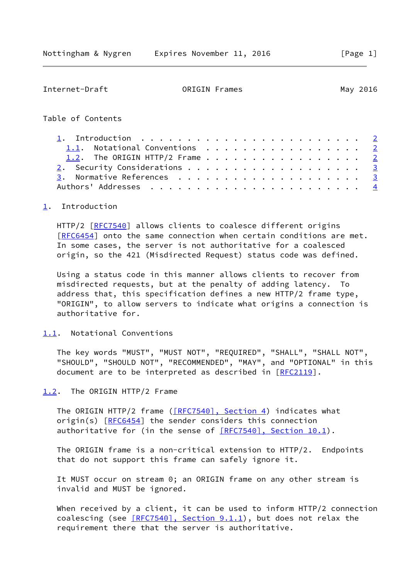<span id="page-1-1"></span>

| Internet-Draft                                                                                                                                                                                                                   | ORIGIN Frames |  |  |  |  |  |  |  | May 2016 |                         |
|----------------------------------------------------------------------------------------------------------------------------------------------------------------------------------------------------------------------------------|---------------|--|--|--|--|--|--|--|----------|-------------------------|
| Table of Contents                                                                                                                                                                                                                |               |  |  |  |  |  |  |  |          |                         |
| 1. Introduction $\ldots \ldots \ldots \ldots \ldots \ldots \ldots \ldots$<br>1.1. Notational Conventions 2<br>1.2. The ORIGIN HTTP/2 Frame $\cdots$ $\cdots$ $\cdots$ $\cdots$ $\cdots$ $\cdots$ $\cdots$ $\cdots$ $\frac{2}{3}$ |               |  |  |  |  |  |  |  |          | $\overline{\mathbf{3}}$ |
|                                                                                                                                                                                                                                  |               |  |  |  |  |  |  |  |          |                         |

# <span id="page-1-0"></span>[1](#page-1-0). Introduction

HTTP/2 [\[RFC7540](https://datatracker.ietf.org/doc/pdf/rfc7540)] allows clients to coalesce different origins [\[RFC6454](https://datatracker.ietf.org/doc/pdf/rfc6454)] onto the same connection when certain conditions are met. In some cases, the server is not authoritative for a coalesced origin, so the 421 (Misdirected Request) status code was defined.

 Using a status code in this manner allows clients to recover from misdirected requests, but at the penalty of adding latency. To address that, this specification defines a new HTTP/2 frame type, "ORIGIN", to allow servers to indicate what origins a connection is authoritative for.

#### <span id="page-1-2"></span>[1.1](#page-1-2). Notational Conventions

 The key words "MUST", "MUST NOT", "REQUIRED", "SHALL", "SHALL NOT", "SHOULD", "SHOULD NOT", "RECOMMENDED", "MAY", and "OPTIONAL" in this document are to be interpreted as described in [\[RFC2119](https://datatracker.ietf.org/doc/pdf/rfc2119)].

<span id="page-1-3"></span>[1.2](#page-1-3). The ORIGIN HTTP/2 Frame

The ORIGIN HTTP/2 frame [\(\[RFC7540\], Section](https://datatracker.ietf.org/doc/pdf/rfc7540#section-4) 4) indicates what origin(s) [[RFC6454](https://datatracker.ietf.org/doc/pdf/rfc6454)] the sender considers this connection authoritative for (in the sense of  $[REC7540]$ , Section 10.1).

 The ORIGIN frame is a non-critical extension to HTTP/2. Endpoints that do not support this frame can safely ignore it.

 It MUST occur on stream 0; an ORIGIN frame on any other stream is invalid and MUST be ignored.

 When received by a client, it can be used to inform HTTP/2 connection coalescing (see  $[REC7540]$ , Section 9.1.1), but does not relax the requirement there that the server is authoritative.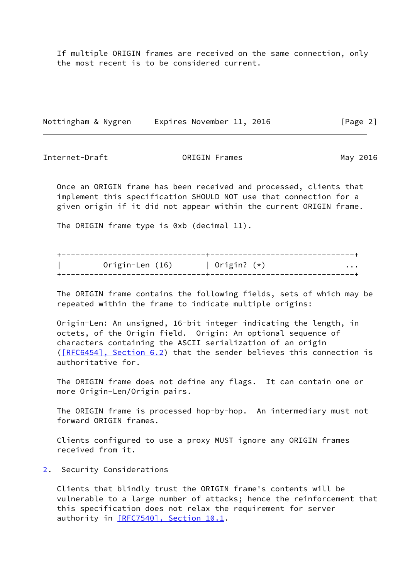If multiple ORIGIN frames are received on the same connection, only the most recent is to be considered current.

Nottingham & Nygren Expires November 11, 2016 [Page 2]

<span id="page-2-1"></span>Internet-Draft ORIGIN Frames May 2016

 Once an ORIGIN frame has been received and processed, clients that implement this specification SHOULD NOT use that connection for a given origin if it did not appear within the current ORIGIN frame.

The ORIGIN frame type is 0xb (decimal 11).

| Origin-Len (16) | Origin? $(*)$ |  |
|-----------------|---------------|--|
|                 |               |  |
|                 |               |  |

 The ORIGIN frame contains the following fields, sets of which may be repeated within the frame to indicate multiple origins:

 Origin-Len: An unsigned, 16-bit integer indicating the length, in octets, of the Origin field. Origin: An optional sequence of characters containing the ASCII serialization of an origin [\(\[RFC6454\], Section](https://datatracker.ietf.org/doc/pdf/rfc6454#section-6.2) 6.2) that the sender believes this connection is authoritative for.

 The ORIGIN frame does not define any flags. It can contain one or more Origin-Len/Origin pairs.

 The ORIGIN frame is processed hop-by-hop. An intermediary must not forward ORIGIN frames.

 Clients configured to use a proxy MUST ignore any ORIGIN frames received from it.

<span id="page-2-0"></span>[2](#page-2-0). Security Considerations

 Clients that blindly trust the ORIGIN frame's contents will be vulnerable to a large number of attacks; hence the reinforcement that this specification does not relax the requirement for server authority in [\[RFC7540\], Section](https://datatracker.ietf.org/doc/pdf/rfc7540#section-10.1) 10.1.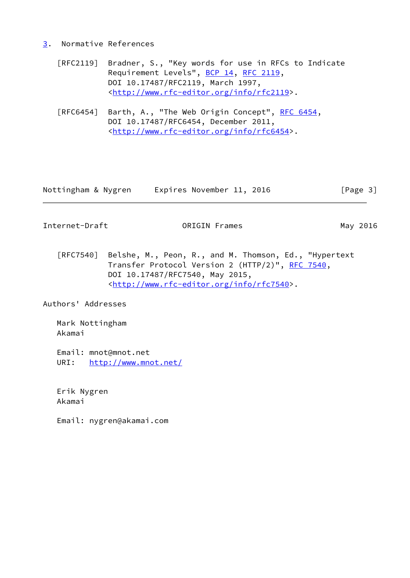### <span id="page-3-0"></span>[3](#page-3-0). Normative References

- [RFC2119] Bradner, S., "Key words for use in RFCs to Indicate Requirement Levels", [BCP 14](https://datatracker.ietf.org/doc/pdf/bcp14), [RFC 2119](https://datatracker.ietf.org/doc/pdf/rfc2119), DOI 10.17487/RFC2119, March 1997, <<http://www.rfc-editor.org/info/rfc2119>>.
- [RFC6454] Barth, A., "The Web Origin Concept", [RFC 6454](https://datatracker.ietf.org/doc/pdf/rfc6454), DOI 10.17487/RFC6454, December 2011, <<http://www.rfc-editor.org/info/rfc6454>>.

| Nottingham & Nygren | Expires November 11, 2016 | [Page 3] |
|---------------------|---------------------------|----------|
|---------------------|---------------------------|----------|

<span id="page-3-1"></span>Internet-Draft **ORIGIN Frames** May 2016

 [RFC7540] Belshe, M., Peon, R., and M. Thomson, Ed., "Hypertext Transfer Protocol Version 2 (HTTP/2)", [RFC 7540](https://datatracker.ietf.org/doc/pdf/rfc7540), DOI 10.17487/RFC7540, May 2015, <<http://www.rfc-editor.org/info/rfc7540>>.

Authors' Addresses

 Mark Nottingham Akamai

 Email: mnot@mnot.net URI: <http://www.mnot.net/>

 Erik Nygren Akamai

Email: nygren@akamai.com